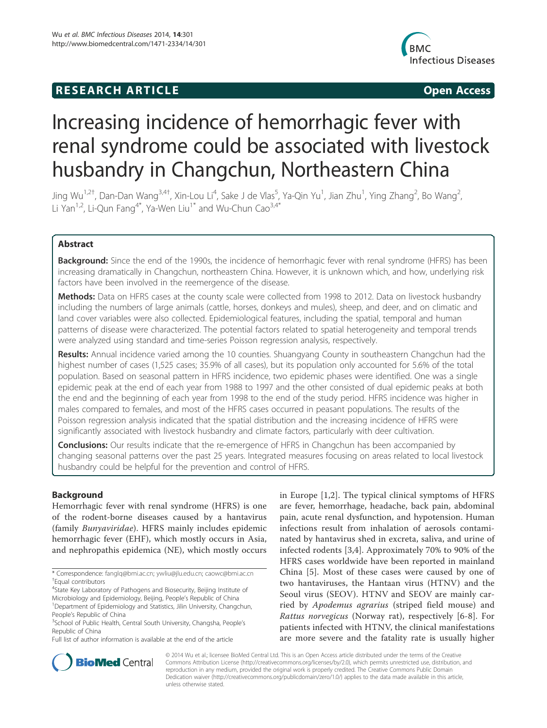# **RESEARCH ARTICLE Example 2018 12:00 Open Access**



# Increasing incidence of hemorrhagic fever with renal syndrome could be associated with livestock husbandry in Changchun, Northeastern China

Jing Wu<sup>1,2†</sup>, Dan-Dan Wang<sup>3,4†</sup>, Xin-Lou Li<sup>4</sup>, Sake J de Vlas<sup>5</sup>, Ya-Qin Yu<sup>1</sup>, Jian Zhu<sup>1</sup>, Ying Zhang<sup>2</sup>, Bo Wang<sup>2</sup> .<br>, Li Yan<sup>1,2</sup>, Li-Qun Fang<sup>4\*</sup>, Ya-Wen Liu<sup>1\*</sup> and Wu-Chun Cao<sup>3,4\*</sup>

# Abstract

Background: Since the end of the 1990s, the incidence of hemorrhagic fever with renal syndrome (HFRS) has been increasing dramatically in Changchun, northeastern China. However, it is unknown which, and how, underlying risk factors have been involved in the reemergence of the disease.

Methods: Data on HFRS cases at the county scale were collected from 1998 to 2012. Data on livestock husbandry including the numbers of large animals (cattle, horses, donkeys and mules), sheep, and deer, and on climatic and land cover variables were also collected. Epidemiological features, including the spatial, temporal and human patterns of disease were characterized. The potential factors related to spatial heterogeneity and temporal trends were analyzed using standard and time-series Poisson regression analysis, respectively.

**Results:** Annual incidence varied among the 10 counties. Shuangyang County in southeastern Changchun had the highest number of cases (1,525 cases; 35.9% of all cases), but its population only accounted for 5.6% of the total population. Based on seasonal pattern in HFRS incidence, two epidemic phases were identified. One was a single epidemic peak at the end of each year from 1988 to 1997 and the other consisted of dual epidemic peaks at both the end and the beginning of each year from 1998 to the end of the study period. HFRS incidence was higher in males compared to females, and most of the HFRS cases occurred in peasant populations. The results of the Poisson regression analysis indicated that the spatial distribution and the increasing incidence of HFRS were significantly associated with livestock husbandry and climate factors, particularly with deer cultivation.

**Conclusions:** Our results indicate that the re-emergence of HFRS in Changchun has been accompanied by changing seasonal patterns over the past 25 years. Integrated measures focusing on areas related to local livestock husbandry could be helpful for the prevention and control of HFRS.

# Background

Hemorrhagic fever with renal syndrome (HFRS) is one of the rodent-borne diseases caused by a hantavirus (family Bunyaviridae). HFRS mainly includes epidemic hemorrhagic fever (EHF), which mostly occurs in Asia, and nephropathis epidemica (NE), which mostly occurs

<sup>4</sup>State Key Laboratory of Pathogens and Biosecurity, Beijing Institute of Microbiology and Epidemiology, Beijing, People's Republic of China <sup>1</sup> <sup>1</sup>Department of Epidemiology and Statistics, Jilin University, Changchun, People's Republic of China

Full list of author information is available at the end of the article

in Europe [1,2]. The typical clinical symptoms of HFRS are fever, hemorrhage, headache, back pain, abdominal pain, acute renal dysfunction, and hypotension. Human infections result from inhalation of aerosols contaminated by hantavirus shed in excreta, saliva, and urine of infected rodents [3,4]. Approximately 70% to 90% of the HFRS cases worldwide have been reported in mainland China [5]. Most of these cases were caused by one of two hantaviruses, the Hantaan virus (HTNV) and the Seoul virus (SEOV). HTNV and SEOV are mainly carried by Apodemus agrarius (striped field mouse) and Rattus norvegicus (Norway rat), respectively [6-8]. For patients infected with HTNV, the clinical manifestations are more severe and the fatality rate is usually higher



© 2014 Wu et al.; licensee BioMed Central Ltd. This is an Open Access article distributed under the terms of the Creative Commons Attribution License (http://creativecommons.org/licenses/by/2.0), which permits unrestricted use, distribution, and reproduction in any medium, provided the original work is properly credited. The Creative Commons Public Domain Dedication waiver (http://creativecommons.org/publicdomain/zero/1.0/) applies to the data made available in this article, unless otherwise stated.

<sup>\*</sup> Correspondence: fanglq@bmi.ac.cn; ywliu@jlu.edu.cn; caowc@bmi.ac.cn † Equal contributors

<sup>&</sup>lt;sup>3</sup>School of Public Health, Central South University, Changsha, People's Republic of China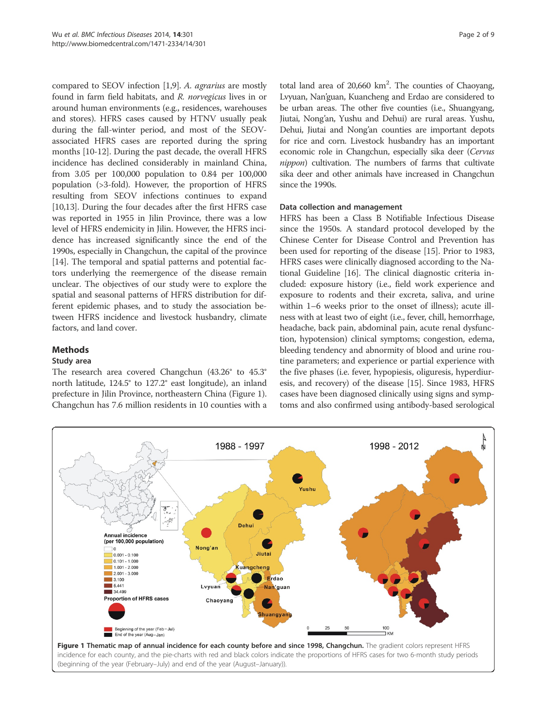compared to SEOV infection [1,9]. A. agrarius are mostly found in farm field habitats, and R. norvegicus lives in or around human environments (e.g., residences, warehouses and stores). HFRS cases caused by HTNV usually peak during the fall-winter period, and most of the SEOVassociated HFRS cases are reported during the spring months [10-12]. During the past decade, the overall HFRS incidence has declined considerably in mainland China, from 3.05 per 100,000 population to 0.84 per 100,000 population (>3-fold). However, the proportion of HFRS resulting from SEOV infections continues to expand [10,13]. During the four decades after the first HFRS case was reported in 1955 in Jilin Province, there was a low level of HFRS endemicity in Jilin. However, the HFRS incidence has increased significantly since the end of the 1990s, especially in Changchun, the capital of the province [14]. The temporal and spatial patterns and potential factors underlying the reemergence of the disease remain unclear. The objectives of our study were to explore the spatial and seasonal patterns of HFRS distribution for different epidemic phases, and to study the association between HFRS incidence and livestock husbandry, climate factors, and land cover.

# Methods

# Study area

The research area covered Changchun (43.26° to 45.3° north latitude, 124.5° to 127.2° east longitude), an inland prefecture in Jilin Province, northeastern China (Figure 1). Changchun has 7.6 million residents in 10 counties with a

total land area of  $20,660 \text{ km}^2$ . The counties of Chaoyang, Lvyuan, Nan'guan, Kuancheng and Erdao are considered to be urban areas. The other five counties (i.e., Shuangyang, Jiutai, Nong'an, Yushu and Dehui) are rural areas. Yushu, Dehui, Jiutai and Nong'an counties are important depots for rice and corn. Livestock husbandry has an important economic role in Changchun, especially sika deer (Cervus nippon) cultivation. The numbers of farms that cultivate sika deer and other animals have increased in Changchun since the 1990s.

# Data collection and management

HFRS has been a Class B Notifiable Infectious Disease since the 1950s. A standard protocol developed by the Chinese Center for Disease Control and Prevention has been used for reporting of the disease [15]. Prior to 1983, HFRS cases were clinically diagnosed according to the National Guideline [16]. The clinical diagnostic criteria included: exposure history (i.e., field work experience and exposure to rodents and their excreta, saliva, and urine within 1–6 weeks prior to the onset of illness); acute illness with at least two of eight (i.e., fever, chill, hemorrhage, headache, back pain, abdominal pain, acute renal dysfunction, hypotension) clinical symptoms; congestion, edema, bleeding tendency and abnormity of blood and urine routine parameters; and experience or partial experience with the five phases (i.e. fever, hypopiesis, oliguresis, hyperdiuresis, and recovery) of the disease [15]. Since 1983, HFRS cases have been diagnosed clinically using signs and symptoms and also confirmed using antibody-based serological

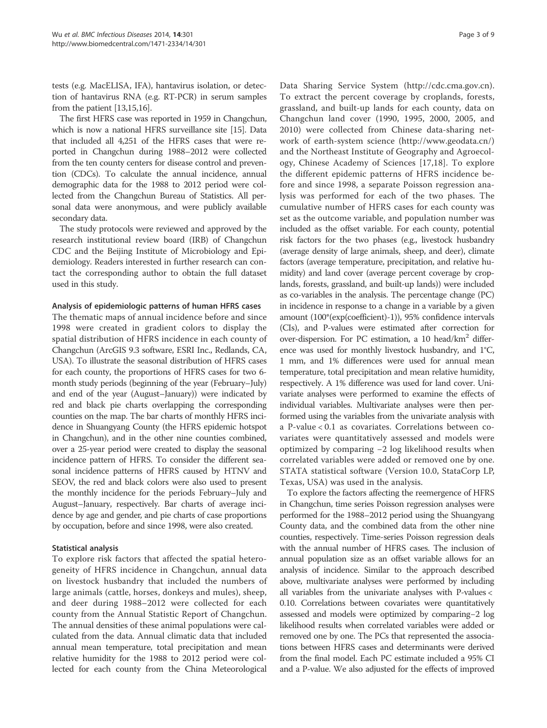tests (e.g. MacELISA, IFA), hantavirus isolation, or detection of hantavirus RNA (e.g. RT-PCR) in serum samples from the patient [13,15,16].

The first HFRS case was reported in 1959 in Changchun, which is now a national HFRS surveillance site [15]. Data that included all 4,251 of the HFRS cases that were reported in Changchun during 1988–2012 were collected from the ten county centers for disease control and prevention (CDCs). To calculate the annual incidence, annual demographic data for the 1988 to 2012 period were collected from the Changchun Bureau of Statistics. All personal data were anonymous, and were publicly available secondary data.

The study protocols were reviewed and approved by the research institutional review board (IRB) of Changchun CDC and the Beijing Institute of Microbiology and Epidemiology. Readers interested in further research can contact the corresponding author to obtain the full dataset used in this study.

#### Analysis of epidemiologic patterns of human HFRS cases

The thematic maps of annual incidence before and since 1998 were created in gradient colors to display the spatial distribution of HFRS incidence in each county of Changchun (ArcGIS 9.3 software, ESRI Inc., Redlands, CA, USA). To illustrate the seasonal distribution of HFRS cases for each county, the proportions of HFRS cases for two 6 month study periods (beginning of the year (February–July) and end of the year (August–January)) were indicated by red and black pie charts overlapping the corresponding counties on the map. The bar charts of monthly HFRS incidence in Shuangyang County (the HFRS epidemic hotspot in Changchun), and in the other nine counties combined, over a 25-year period were created to display the seasonal incidence pattern of HFRS. To consider the different seasonal incidence patterns of HFRS caused by HTNV and SEOV, the red and black colors were also used to present the monthly incidence for the periods February–July and August–January, respectively. Bar charts of average incidence by age and gender, and pie charts of case proportions by occupation, before and since 1998, were also created.

# Statistical analysis

To explore risk factors that affected the spatial heterogeneity of HFRS incidence in Changchun, annual data on livestock husbandry that included the numbers of large animals (cattle, horses, donkeys and mules), sheep, and deer during 1988–2012 were collected for each county from the Annual Statistic Report of Changchun. The annual densities of these animal populations were calculated from the data. Annual climatic data that included annual mean temperature, total precipitation and mean relative humidity for the 1988 to 2012 period were collected for each county from the China Meteorological

Data Sharing Service System (http://cdc.cma.gov.cn). To extract the percent coverage by croplands, forests, grassland, and built-up lands for each county, data on Changchun land cover (1990, 1995, 2000, 2005, and 2010) were collected from Chinese data-sharing network of earth-system science (http://www.geodata.cn/) and the Northeast Institute of Geography and Agroecology, Chinese Academy of Sciences [17,18]. To explore the different epidemic patterns of HFRS incidence before and since 1998, a separate Poisson regression analysis was performed for each of the two phases. The cumulative number of HFRS cases for each county was set as the outcome variable, and population number was included as the offset variable. For each county, potential risk factors for the two phases (e.g., livestock husbandry (average density of large animals, sheep, and deer), climate factors (average temperature, precipitation, and relative humidity) and land cover (average percent coverage by croplands, forests, grassland, and built-up lands)) were included as co-variables in the analysis. The percentage change (PC) in incidence in response to a change in a variable by a given amount (100\*(exp(coefficient)-1)), 95% confidence intervals (CIs), and P-values were estimated after correction for over-dispersion. For PC estimation, a 10 head/km<sup>2</sup> difference was used for monthly livestock husbandry, and 1°C, 1 mm, and 1% differences were used for annual mean temperature, total precipitation and mean relative humidity, respectively. A 1% difference was used for land cover. Univariate analyses were performed to examine the effects of individual variables. Multivariate analyses were then performed using the variables from the univariate analysis with a P-value < 0.1 as covariates. Correlations between covariates were quantitatively assessed and models were optimized by comparing −2 log likelihood results when correlated variables were added or removed one by one. STATA statistical software (Version 10.0, StataCorp LP, Texas, USA) was used in the analysis.

To explore the factors affecting the reemergence of HFRS in Changchun, time series Poisson regression analyses were performed for the 1988–2012 period using the Shuangyang County data, and the combined data from the other nine counties, respectively. Time-series Poisson regression deals with the annual number of HFRS cases. The inclusion of annual population size as an offset variable allows for an analysis of incidence. Similar to the approach described above, multivariate analyses were performed by including all variables from the univariate analyses with P-values < 0.10. Correlations between covariates were quantitatively assessed and models were optimized by comparing−2 log likelihood results when correlated variables were added or removed one by one. The PCs that represented the associations between HFRS cases and determinants were derived from the final model. Each PC estimate included a 95% CI and a P-value. We also adjusted for the effects of improved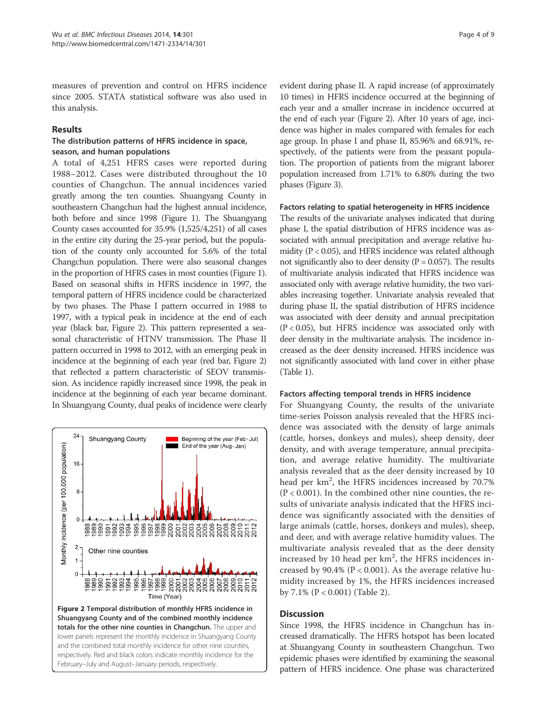measures of prevention and control on HFRS incidence since 2005. STATA statistical software was also used in this analysis.

# Results

# The distribution patterns of HFRS incidence in space, season, and human populations

A total of 4,251 HFRS cases were reported during 1988–2012. Cases were distributed throughout the 10 counties of Changchun. The annual incidences varied greatly among the ten counties. Shuangyang County in southeastern Changchun had the highest annual incidence, both before and since 1998 (Figure 1). The Shuangyang County cases accounted for 35.9% (1,525/4,251) of all cases in the entire city during the 25-year period, but the population of the county only accounted for 5.6% of the total Changchun population. There were also seasonal changes in the proportion of HFRS cases in most counties (Figure 1). Based on seasonal shifts in HFRS incidence in 1997, the temporal pattern of HFRS incidence could be characterized by two phases. The Phase I pattern occurred in 1988 to 1997, with a typical peak in incidence at the end of each year (black bar, Figure 2). This pattern represented a seasonal characteristic of HTNV transmission. The Phase II pattern occurred in 1998 to 2012, with an emerging peak in incidence at the beginning of each year (red bar, Figure 2) that reflected a pattern characteristic of SEOV transmission. As incidence rapidly increased since 1998, the peak in incidence at the beginning of each year became dominant. In Shuangyang County, dual peaks of incidence were clearly



evident during phase II. A rapid increase (of approximately 10 times) in HFRS incidence occurred at the beginning of each year and a smaller increase in incidence occurred at the end of each year (Figure 2). After 10 years of age, incidence was higher in males compared with females for each age group. In phase I and phase II, 85.96% and 68.91%, respectively, of the patients were from the peasant population. The proportion of patients from the migrant laborer population increased from 1.71% to 6.80% during the two phases (Figure 3).

#### Factors relating to spatial heterogeneity in HFRS incidence

The results of the univariate analyses indicated that during phase I, the spatial distribution of HFRS incidence was associated with annual precipitation and average relative humidity ( $P < 0.05$ ), and HFRS incidence was related although not significantly also to deer density ( $P = 0.057$ ). The results of multivariate analysis indicated that HFRS incidence was associated only with average relative humidity, the two variables increasing together. Univariate analysis revealed that during phase II, the spatial distribution of HFRS incidence was associated with deer density and annual precipitation (P < 0.05), but HFRS incidence was associated only with deer density in the multivariate analysis. The incidence increased as the deer density increased. HFRS incidence was not significantly associated with land cover in either phase (Table 1).

# Factors affecting temporal trends in HFRS incidence

For Shuangyang County, the results of the univariate time-series Poisson analysis revealed that the HFRS incidence was associated with the density of large animals (cattle, horses, donkeys and mules), sheep density, deer density, and with average temperature, annual precipitation, and average relative humidity. The multivariate analysis revealed that as the deer density increased by 10 head per km<sup>2</sup>, the HFRS incidences increased by 70.7%  $(P < 0.001)$ . In the combined other nine counties, the results of univariate analysis indicated that the HFRS incidence was significantly associated with the densities of large animals (cattle, horses, donkeys and mules), sheep, and deer, and with average relative humidity values. The multivariate analysis revealed that as the deer density increased by 10 head per  $km^2$ , the HFRS incidences increased by 90.4% ( $P < 0.001$ ). As the average relative humidity increased by 1%, the HFRS incidences increased by 7.1% (P < 0.001) (Table 2).

# **Discussion**

Since 1998, the HFRS incidence in Changchun has increased dramatically. The HFRS hotspot has been located at Shuangyang County in southeastern Changchun. Two epidemic phases were identified by examining the seasonal pattern of HFRS incidence. One phase was characterized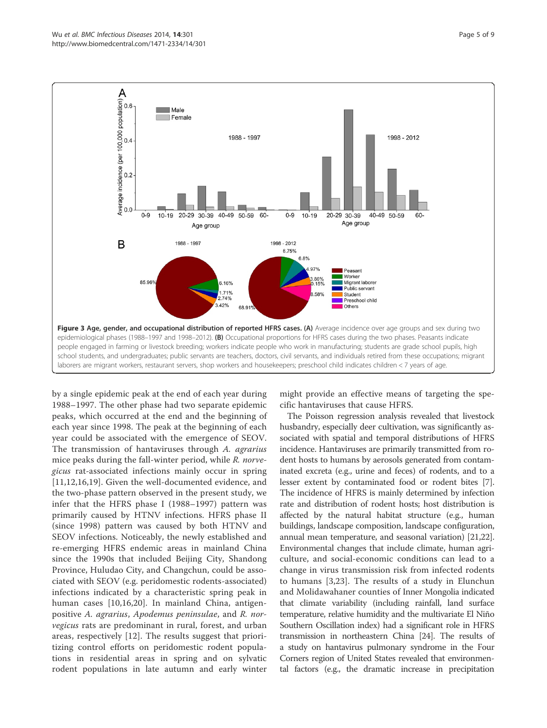

by a single epidemic peak at the end of each year during 1988–1997. The other phase had two separate epidemic peaks, which occurred at the end and the beginning of each year since 1998. The peak at the beginning of each year could be associated with the emergence of SEOV. The transmission of hantaviruses through A. agrarius mice peaks during the fall-winter period, while R. norvegicus rat-associated infections mainly occur in spring [11,12,16,19]. Given the well-documented evidence, and the two-phase pattern observed in the present study, we infer that the HFRS phase I (1988–1997) pattern was primarily caused by HTNV infections. HFRS phase II (since 1998) pattern was caused by both HTNV and SEOV infections. Noticeably, the newly established and re-emerging HFRS endemic areas in mainland China since the 1990s that included Beijing City, Shandong Province, Huludao City, and Changchun, could be associated with SEOV (e.g. peridomestic rodents-associated) infections indicated by a characteristic spring peak in human cases [10,16,20]. In mainland China, antigenpositive A. agrarius, Apodemus peninsulae, and R. norvegicus rats are predominant in rural, forest, and urban areas, respectively [12]. The results suggest that prioritizing control efforts on peridomestic rodent populations in residential areas in spring and on sylvatic rodent populations in late autumn and early winter might provide an effective means of targeting the specific hantaviruses that cause HFRS.

The Poisson regression analysis revealed that livestock husbandry, especially deer cultivation, was significantly associated with spatial and temporal distributions of HFRS incidence. Hantaviruses are primarily transmitted from rodent hosts to humans by aerosols generated from contaminated excreta (e.g., urine and feces) of rodents, and to a lesser extent by contaminated food or rodent bites [7]. The incidence of HFRS is mainly determined by infection rate and distribution of rodent hosts; host distribution is affected by the natural habitat structure (e.g., human buildings, landscape composition, landscape configuration, annual mean temperature, and seasonal variation) [21,22]. Environmental changes that include climate, human agriculture, and social-economic conditions can lead to a change in virus transmission risk from infected rodents to humans [3,23]. The results of a study in Elunchun and Molidawahaner counties of Inner Mongolia indicated that climate variability (including rainfall, land surface temperature, relative humidity and the multivariate El Niño Southern Oscillation index) had a significant role in HFRS transmission in northeastern China [24]. The results of a study on hantavirus pulmonary syndrome in the Four Corners region of United States revealed that environmental factors (e.g., the dramatic increase in precipitation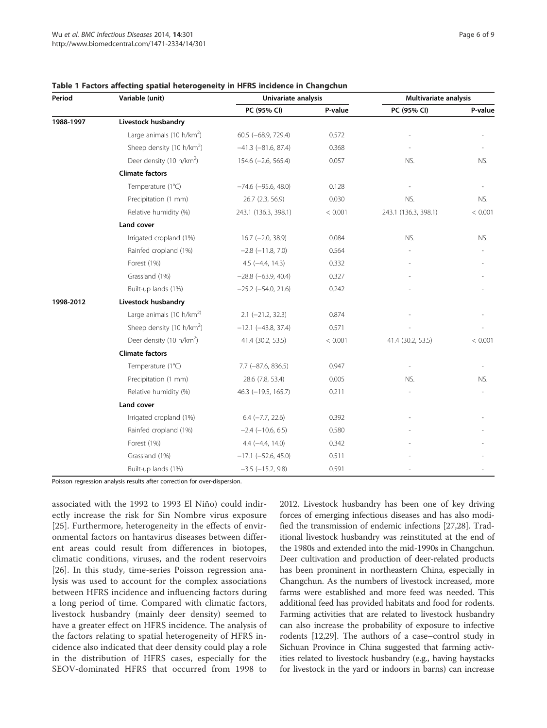| Period    | Variable (unit)                       | Univariate analysis       |         | Multivariate analysis |         |
|-----------|---------------------------------------|---------------------------|---------|-----------------------|---------|
|           |                                       | PC (95% CI)               | P-value | PC (95% CI)           | P-value |
| 1988-1997 | Livestock husbandry                   |                           |         |                       |         |
|           | Large animals (10 h/km <sup>2</sup> ) | 60.5 (-68.9, 729.4)       | 0.572   |                       |         |
|           | Sheep density (10 h/km <sup>2</sup> ) | $-41.3$ $(-81.6, 87.4)$   | 0.368   |                       |         |
|           | Deer density (10 h/km <sup>2</sup> )  | $154.6$ (-2.6, 565.4)     | 0.057   | NS.                   | NS.     |
|           | <b>Climate factors</b>                |                           |         |                       |         |
|           | Temperature (1°C)                     | $-74.6$ ( $-95.6$ , 48.0) | 0.128   |                       |         |
|           | Precipitation (1 mm)                  | 26.7 (2.3, 56.9)          | 0.030   | NS.                   | NS.     |
|           | Relative humidity (%)                 | 243.1 (136.3, 398.1)      | < 0.001 | 243.1 (136.3, 398.1)  | < 0.001 |
|           | Land cover                            |                           |         |                       |         |
|           | Irrigated cropland (1%)               | $16.7$ (-2.0, 38.9)       | 0.084   | NS.                   | NS.     |
|           | Rainfed cropland (1%)                 | $-2.8$ $(-11.8, 7.0)$     | 0.564   |                       |         |
|           | Forest (1%)                           | $4.5$ ( $-4.4$ , 14.3)    | 0.332   |                       |         |
|           | Grassland (1%)                        | $-28.8$ ( $-63.9$ , 40.4) | 0.327   |                       |         |
|           | Built-up lands (1%)                   | $-25.2$ ( $-54.0$ , 21.6) | 0.242   |                       |         |
| 1998-2012 | Livestock husbandry                   |                           |         |                       |         |
|           | Large animals (10 h/km <sup>2)</sup>  | $2.1$ (-21.2, 32.3)       | 0.874   |                       |         |
|           | Sheep density (10 h/km <sup>2</sup> ) | $-12.1$ $(-43.8, 37.4)$   | 0.571   |                       |         |
|           | Deer density (10 h/km <sup>2</sup> )  | 41.4 (30.2, 53.5)         | < 0.001 | 41.4 (30.2, 53.5)     | < 0.001 |
|           | <b>Climate factors</b>                |                           |         |                       |         |
|           | Temperature (1°C)                     | $7.7$ ( $-87.6$ , 836.5)  | 0.947   |                       |         |
|           | Precipitation (1 mm)                  | 28.6 (7.8, 53.4)          | 0.005   | NS.                   | NS.     |
|           | Relative humidity (%)                 | 46.3 (-19.5, 165.7)       | 0.211   |                       |         |
|           | Land cover                            |                           |         |                       |         |
|           | Irrigated cropland (1%)               | $6.4$ $(-7.7, 22.6)$      | 0.392   |                       |         |
|           | Rainfed cropland (1%)                 | $-2.4$ ( $-10.6$ , 6.5)   | 0.580   |                       |         |
|           | Forest (1%)                           | $4.4 (-4.4, 14.0)$        | 0.342   |                       |         |
|           | Grassland (1%)                        | $-17.1$ $(-52.6, 45.0)$   | 0.511   |                       |         |
|           | Built-up lands (1%)                   | $-3.5$ ( $-15.2$ , 9.8)   | 0.591   |                       |         |

#### Table 1 Factors affecting spatial heterogeneity in HFRS incidence in Changchun

Poisson regression analysis results after correction for over-dispersion.

associated with the 1992 to 1993 El Niño) could indirectly increase the risk for Sin Nombre virus exposure [25]. Furthermore, heterogeneity in the effects of environmental factors on hantavirus diseases between different areas could result from differences in biotopes, climatic conditions, viruses, and the rodent reservoirs [26]. In this study, time-series Poisson regression analysis was used to account for the complex associations between HFRS incidence and influencing factors during a long period of time. Compared with climatic factors, livestock husbandry (mainly deer density) seemed to have a greater effect on HFRS incidence. The analysis of the factors relating to spatial heterogeneity of HFRS incidence also indicated that deer density could play a role in the distribution of HFRS cases, especially for the SEOV-dominated HFRS that occurred from 1998 to 2012. Livestock husbandry has been one of key driving forces of emerging infectious diseases and has also modified the transmission of endemic infections [27,28]. Traditional livestock husbandry was reinstituted at the end of the 1980s and extended into the mid-1990s in Changchun. Deer cultivation and production of deer-related products has been prominent in northeastern China, especially in Changchun. As the numbers of livestock increased, more farms were established and more feed was needed. This additional feed has provided habitats and food for rodents. Farming activities that are related to livestock husbandry can also increase the probability of exposure to infective rodents [12,29]. The authors of a case–control study in Sichuan Province in China suggested that farming activities related to livestock husbandry (e.g., having haystacks for livestock in the yard or indoors in barns) can increase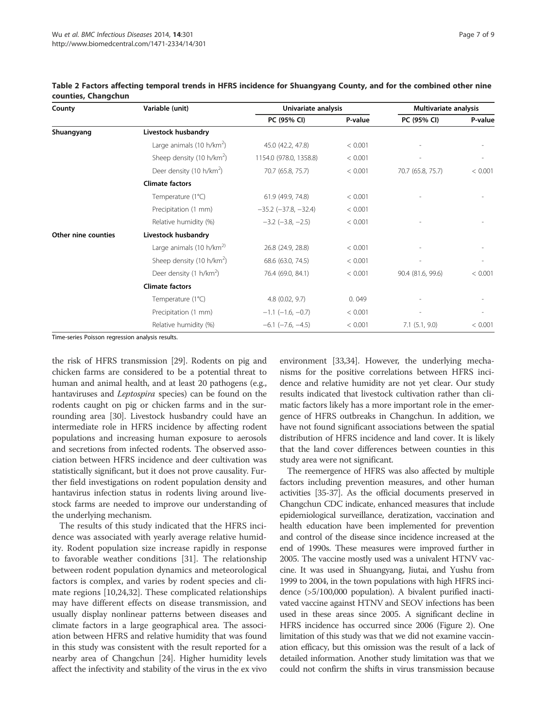| County              | Variable (unit)                       | Univariate analysis        |         | Multivariate analysis |         |
|---------------------|---------------------------------------|----------------------------|---------|-----------------------|---------|
|                     |                                       | PC (95% CI)                | P-value | PC (95% CI)           | P-value |
| Shuangyang          | Livestock husbandry                   |                            |         |                       |         |
|                     | Large animals (10 h/km <sup>2</sup> ) | 45.0 (42.2, 47.8)          | < 0.001 |                       |         |
|                     | Sheep density (10 h/km <sup>2</sup> ) | 1154.0 (978.0, 1358.8)     | < 0.001 |                       |         |
|                     | Deer density (10 h/km <sup>2</sup> )  | 70.7 (65.8, 75.7)          | < 0.001 | 70.7 (65.8, 75.7)     | < 0.001 |
|                     | <b>Climate factors</b>                |                            |         |                       |         |
|                     | Temperature (1°C)                     | 61.9 (49.9, 74.8)          | < 0.001 |                       |         |
|                     | Precipitation (1 mm)                  | $-35.2$ $(-37.8, -32.4)$   | < 0.001 |                       |         |
|                     | Relative humidity (%)                 | $-3.2$ ( $-3.8$ , $-2.5$ ) | < 0.001 |                       |         |
| Other nine counties | Livestock husbandry                   |                            |         |                       |         |
|                     | Large animals (10 h/km <sup>2)</sup>  | 26.8 (24.9, 28.8)          | < 0.001 |                       |         |
|                     | Sheep density (10 h/km <sup>2</sup> ) | 68.6 (63.0, 74.5)          | < 0.001 |                       |         |
|                     | Deer density (1 h/km <sup>2</sup> )   | 76.4 (69.0, 84.1)          | < 0.001 | 90.4 (81.6, 99.6)     | < 0.001 |
|                     | <b>Climate factors</b>                |                            |         |                       |         |
|                     | Temperature (1°C)                     | $4.8$ (0.02, 9.7)          | 0.049   |                       |         |
|                     | Precipitation (1 mm)                  | $-1.1$ ( $-1.6$ , $-0.7$ ) | < 0.001 |                       |         |
|                     | Relative humidity (%)                 | $-6.1$ $(-7.6, -4.5)$      | < 0.001 | $7.1$ $(5.1, 9.0)$    | < 0.001 |

Table 2 Factors affecting temporal trends in HFRS incidence for Shuangyang County, and for the combined other nine counties, Changchun

Time-series Poisson regression analysis results.

the risk of HFRS transmission [29]. Rodents on pig and chicken farms are considered to be a potential threat to human and animal health, and at least 20 pathogens (e.g., hantaviruses and Leptospira species) can be found on the rodents caught on pig or chicken farms and in the surrounding area [30]. Livestock husbandry could have an intermediate role in HFRS incidence by affecting rodent populations and increasing human exposure to aerosols and secretions from infected rodents. The observed association between HFRS incidence and deer cultivation was statistically significant, but it does not prove causality. Further field investigations on rodent population density and hantavirus infection status in rodents living around livestock farms are needed to improve our understanding of the underlying mechanism.

The results of this study indicated that the HFRS incidence was associated with yearly average relative humidity. Rodent population size increase rapidly in response to favorable weather conditions [31]. The relationship between rodent population dynamics and meteorological factors is complex, and varies by rodent species and climate regions [10,24,32]. These complicated relationships may have different effects on disease transmission, and usually display nonlinear patterns between diseases and climate factors in a large geographical area. The association between HFRS and relative humidity that was found in this study was consistent with the result reported for a nearby area of Changchun [24]. Higher humidity levels affect the infectivity and stability of the virus in the ex vivo

environment [33,34]. However, the underlying mechanisms for the positive correlations between HFRS incidence and relative humidity are not yet clear. Our study results indicated that livestock cultivation rather than climatic factors likely has a more important role in the emergence of HFRS outbreaks in Changchun. In addition, we have not found significant associations between the spatial distribution of HFRS incidence and land cover. It is likely that the land cover differences between counties in this study area were not significant.

The reemergence of HFRS was also affected by multiple factors including prevention measures, and other human activities [35-37]. As the official documents preserved in Changchun CDC indicate, enhanced measures that include epidemiological surveillance, deratization, vaccination and health education have been implemented for prevention and control of the disease since incidence increased at the end of 1990s. These measures were improved further in 2005. The vaccine mostly used was a univalent HTNV vaccine. It was used in Shuangyang, Jiutai, and Yushu from 1999 to 2004, in the town populations with high HFRS incidence (>5/100,000 population). A bivalent purified inactivated vaccine against HTNV and SEOV infections has been used in these areas since 2005. A significant decline in HFRS incidence has occurred since 2006 (Figure 2). One limitation of this study was that we did not examine vaccination efficacy, but this omission was the result of a lack of detailed information. Another study limitation was that we could not confirm the shifts in virus transmission because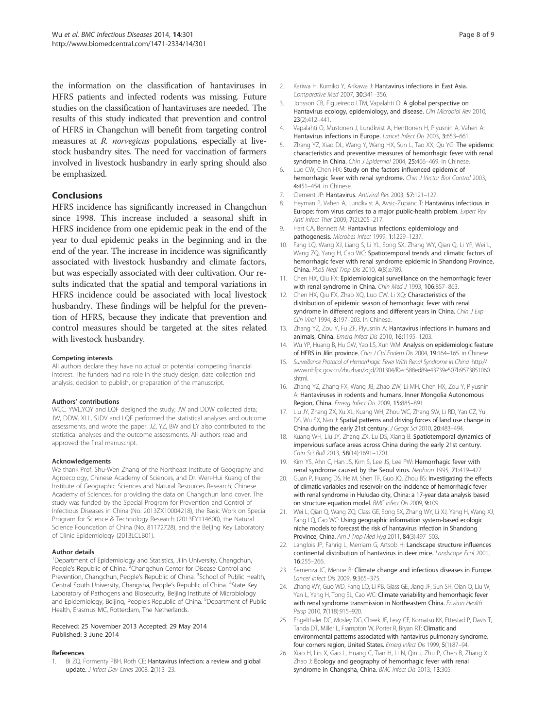the information on the classification of hantaviruses in HFRS patients and infected rodents was missing. Future studies on the classification of hantaviruses are needed. The results of this study indicated that prevention and control of HFRS in Changchun will benefit from targeting control measures at R. *norvegicus* populations, especially at livestock husbandry sites. The need for vaccination of farmers involved in livestock husbandry in early spring should also be emphasized.

#### **Conclusions**

HFRS incidence has significantly increased in Changchun since 1998. This increase included a seasonal shift in HFRS incidence from one epidemic peak in the end of the year to dual epidemic peaks in the beginning and in the end of the year. The increase in incidence was significantly associated with livestock husbandry and climate factors, but was especially associated with deer cultivation. Our results indicated that the spatial and temporal variations in HFRS incidence could be associated with local livestock husbandry. These findings will be helpful for the prevention of HFRS, because they indicate that prevention and control measures should be targeted at the sites related with livestock husbandry.

#### Competing interests

All authors declare they have no actual or potential competing financial interest. The funders had no role in the study design, data collection and analysis, decision to publish, or preparation of the manuscript.

#### Authors' contributions

WCC, YWL,YQY and LQF designed the study; JW and DDW collected data; JW, DDW, XLL, SJDV and LQF performed the statistical analyses and outcome assessments, and wrote the paper. JZ, YZ, BW and LY also contributed to the statistical analyses and the outcome assessments. All authors read and approved the final manuscript.

#### Acknowledgements

We thank Prof. Shu-Wen Zhang of the Northeast Institute of Geography and Agroecology, Chinese Academy of Sciences, and Dr. Wen-Hui Kuang of the Institute of Geographic Sciences and Natural Resources Research, Chinese Academy of Sciences, for providing the data on Changchun land cover. The study was funded by the Special Program for Prevention and Control of Infectious Diseases in China (No. 2013ZX10004218), the Basic Work on Special Program for Science & Technology Research (2013FY114600), the Natural Science Foundation of China (No. 81172728), and the Beijing Key Laboratory of Clinic Epidemiology (2013LCLB01).

#### Author details

<sup>1</sup>Department of Epidemiology and Statistics, Jilin University, Changchun, People's Republic of China. <sup>2</sup> Changchun Center for Disease Control and Prevention, Changchun, People's Republic of China. <sup>3</sup>School of Public Health, Central South University, Changsha, People's Republic of China. <sup>4</sup>State Key Laboratory of Pathogens and Biosecurity, Beijing Institute of Microbiology and Epidemiology, Beijing, People's Republic of China. <sup>5</sup>Department of Public Health, Erasmus MC, Rotterdam, The Netherlands.

#### Received: 25 November 2013 Accepted: 29 May 2014 Published: 3 June 2014

#### References

1. Bi ZQ, Formenty PBH, Roth CE: Hantavirus infection: a review and global update. J Infect Dev Ctries 2008, 2(1):3-23.

- 2. Kariwa H, Kumiko Y, Arikawa J: Hantavirus infections in East Asia. Comparative Med 2007, 30:341–356.
- 3. Jonsson CB, Figueiredo LTM, Vapalahti O: A global perspective on Hantavirus ecology, epidemiology, and disease. Clin Microbiol Rev 2010, 23(2):412–441.
- 4. Vapalahti O, Mustonen J, Lundkvist A, Henttonen H, Plyusnin A, Vaheri A: Hantavirus infections in Europe. Lancet Infect Dis 2003, 3:653–661.
- 5. Zhang YZ, Xiao DL, Wang Y, Wang HX, Sun L, Tao XX, Qu YG: The epidemic characteristics and preventive measures of hemorrhagic fever with renal syndrome in China. Chin J Epidemiol 2004, 25:466-469. in Chinese.
- 6. Luo CW, Chen HX: Study on the factors influenced epidemic of hemorrhagic fever with renal syndrome. Chin J Vector Biol Control 2003, 4:451–454. in Chinese.
- 7. Clement JP: Hantavirus. Antiviral Res 2003, 57:121–127.
- 8. Heyman P, Vaheri A, Lundkvist A, Avsic-Zupanc T: Hantavirus infectious in Europe: from virus carries to a major public-health problem. Expert Rev Anti Infect Ther 2009, 7(2):205–217.
- 9. Hart CA, Bennett M: Hantavirus infections: epidemiology and pathogenesis. Microbes Infect 1999, 1:1229–1237.
- 10. Fang LQ, Wang XJ, Liang S, Li YL, Song SX, Zhang WY, Qian Q, Li YP, Wei L, Wang ZQ, Yang H, Cao WC: Spatiotemporal trends and climatic factors of hemorrhagic fever with renal syndrome epidemic in Shandong Province, China. PLoS Negl Trop Dis 2010, 4(8):e789.
- 11. Chen HX, Qiu FX: Epidemiological surveillance on the hemorrhagic fever with renal syndrome in China. Chin Med J 1993, 106:857-863.
- 12. Chen HX, Qiu FX, Zhao XQ, Luo CW, Li XQ: Characteristics of the distribution of epidemic season of hemorrhagic fever with renal syndrome in different regions and different years in China. Chin J Exp Clin Virol 1994, 8:197-203. In Chinese.
- 13. Zhang YZ, Zou Y, Fu ZF, Plyusnin A: Hantavirus infections in humans and animals, China. Emerg Infect Dis 2010, 16:1195–1203.
- 14. Wu YP, Huang B, Hu GW, Yao LS, Xun WM: Analysis on epidemiologic feature of HFRS in Jilin province. Chin J Ctrl Endem Dis 2004, 19:164-165. in Chinese.
- 15. Surveillance Protocol of Hemorrhagic Fever With Renal Syndrome in China. http:// www.nhfpc.gov.cn/zhuzhan/zcjd/201304/f0ec588ed89e43739e507b9573851060. shtml.
- 16. Zhang YZ, Zhang FX, Wang JB, Zhao ZW, Li MH, Chen HX, Zou Y, Plyusnin A: Hantaviruses in rodents and humans, Inner Mongolia Autonomous Region, China. Emerg Infect Dis 2009, 15:885–891.
- 17. Liu JY, Zhang ZX, Xu XL, Kuang WH, Zhou WC, Zhang SW, Li RD, Yan CZ, Yu DS, Wu SX, Nan J: Spatial patterns and driving forces of land use change in China during the early 21st century. J Geogr Sci 2010, 20:483–494.
- 18. Kuang WH, Liu JY, Zhang ZX, Lu DS, Xiang B: Spatiotemporal dynamics of impervious surface areas across China during the early 21st century. Chin Sci Bull 2013, 58(14):1691–1701.
- 19. Kim YS, Ahn C, Han JS, Kim S, Lee JS, Lee PW: Hemorrhagic fever with renal syndrome caused by the Seoul virus. Nephron 1995, 71:419–427.
- 20. Guan P, Huang DS, He M, Shen TF, Guo JQ, Zhou BS: Investigating the effects of climatic variables and reservoir on the incidence of hemorrhagic fever with renal syndrome in Huludao city, China: a 17-year data analysis based on structure equation model. BMC Infect Dis 2009, 9:109.
- 21. Wei L, Qian Q, Wang ZQ, Class GE, Song SX, Zhang WY, Li XJ, Yang H, Wang XJ, Fang LQ, Cao WC: Using geographic information system-based ecologic niche models to forecast the risk of hantavirus infection in Shandong Province, China. Am J Trop Med Hyg 2011, 84(3):497–503.
- 22. Langlois JP, Fahrig L, Merriam G, Artsob H: Landscape structure influences continental distribution of hantavirus in deer mice. Landscope Ecol 2001, 16:255–266.
- 23. Semenza JC, Menne B: Climate change and infectious diseases in Europe. Lancet Infect Dis 2009, 9:365–375.
- 24. Zhang WY, Guo WD, Fang LQ, Li PB, Glass GE, Jiang JF, Sun SH, Qian Q, Liu W, Yan L, Yang H, Tong SL, Cao WC: Climate variability and hemorrhagic fever with renal syndrome transmission in Northeastern China. Environ Health Persp 2010, 7(118):915-920.
- 25. Engelthaler DC, Mosley DG, Cheek JE, Levy CE, Komatsu KK, Ettestad P, Davis T, Tanda DT, Miller L, Frampton W, Porter R, Bryan RT: Climatic and environmental patterns associated with hantavirus pulmonary syndrome, four corners region, United States. Emerg Infect Dis 1999, 5(1):87–94.
- 26. Xiao H, Lin X, Gao L, Huang C, Tian H, Li N, Qin J, Zhu P, Chen B, Zhang X, Zhao J: Ecology and geography of hemorrhagic fever with renal syndrome in Changsha, China. BMC Infect Dis 2013, 13:305.